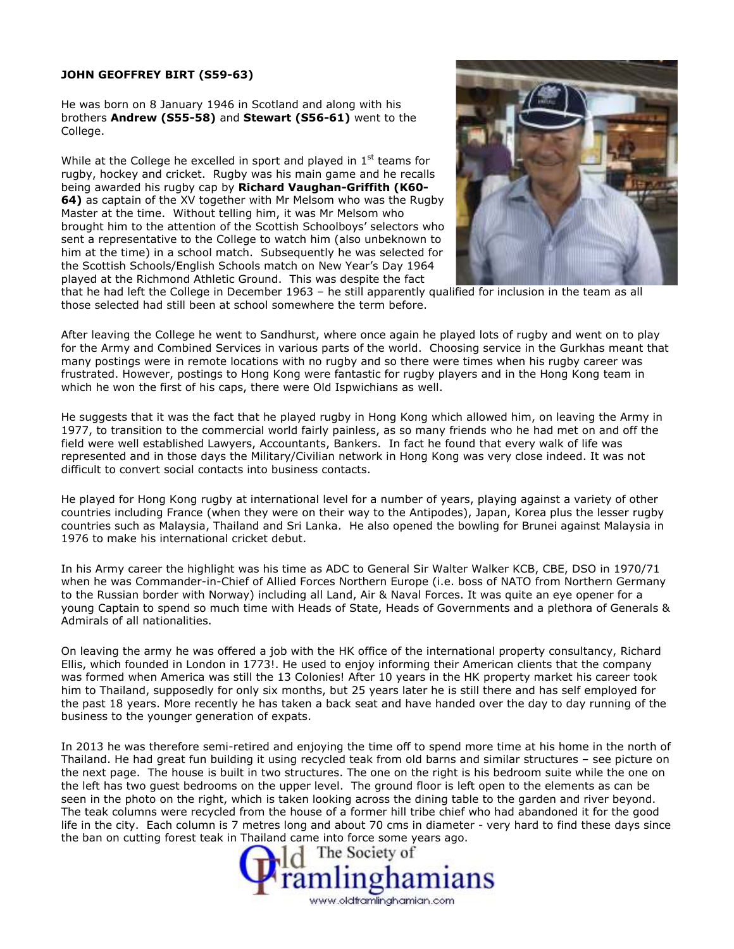## **JOHN GEOFFREY BIRT (S59-63)**

He was born on 8 January 1946 in Scotland and along with his brothers **Andrew (S55-58)** and **Stewart (S56-61)** went to the College.

While at the College he excelled in sport and played in  $1<sup>st</sup>$  teams for rugby, hockey and cricket. Rugby was his main game and he recalls being awarded his rugby cap by **Richard Vaughan-Griffith (K60- 64)** as captain of the XV together with Mr Melsom who was the Rugby Master at the time. Without telling him, it was Mr Melsom who brought him to the attention of the Scottish Schoolboys' selectors who sent a representative to the College to watch him (also unbeknown to him at the time) in a school match. Subsequently he was selected for the Scottish Schools/English Schools match on New Year's Day 1964 played at the Richmond Athletic Ground. This was despite the fact



that he had left the College in December 1963 – he still apparently qualified for inclusion in the team as all those selected had still been at school somewhere the term before.

After leaving the College he went to Sandhurst, where once again he played lots of rugby and went on to play for the Army and Combined Services in various parts of the world. Choosing service in the Gurkhas meant that many postings were in remote locations with no rugby and so there were times when his rugby career was frustrated. However, postings to Hong Kong were fantastic for rugby players and in the Hong Kong team in which he won the first of his caps, there were Old Ispwichians as well.

He suggests that it was the fact that he played rugby in Hong Kong which allowed him, on leaving the Army in 1977, to transition to the commercial world fairly painless, as so many friends who he had met on and off the field were well established Lawyers, Accountants, Bankers. In fact he found that every walk of life was represented and in those days the Military/Civilian network in Hong Kong was very close indeed. It was not difficult to convert social contacts into business contacts.

He played for Hong Kong rugby at international level for a number of years, playing against a variety of other countries including France (when they were on their way to the Antipodes), Japan, Korea plus the lesser rugby countries such as Malaysia, Thailand and Sri Lanka. He also opened the bowling for Brunei against Malaysia in 1976 to make his international cricket debut.

In his Army career the highlight was his time as ADC to General Sir Walter Walker KCB, CBE, DSO in 1970/71 when he was Commander-in-Chief of Allied Forces Northern Europe (i.e. boss of NATO from Northern Germany to the Russian border with Norway) including all Land, Air & Naval Forces. It was quite an eye opener for a young Captain to spend so much time with Heads of State, Heads of Governments and a plethora of Generals & Admirals of all nationalities.

On leaving the army he was offered a job with the HK office of the international property consultancy, Richard Ellis, which founded in London in 1773!. He used to enjoy informing their American clients that the company was formed when America was still the 13 Colonies! After 10 years in the HK property market his career took him to Thailand, supposedly for only six months, but 25 years later he is still there and has self employed for the past 18 years. More recently he has taken a back seat and have handed over the day to day running of the business to the younger generation of expats.

In 2013 he was therefore semi-retired and enjoying the time off to spend more time at his home in the north of Thailand. He had great fun building it using recycled teak from old barns and similar structures – see picture on the next page. The house is built in two structures. The one on the right is his bedroom suite while the one on the left has two guest bedrooms on the upper level. The ground floor is left open to the elements as can be seen in the photo on the right, which is taken looking across the dining table to the garden and river beyond. The teak columns were recycled from the house of a former hill tribe chief who had abandoned it for the good life in the city. Each column is 7 metres long and about 70 cms in diameter - very hard to find these days since the ban on cutting forest teak in Thailand came into force some years ago.

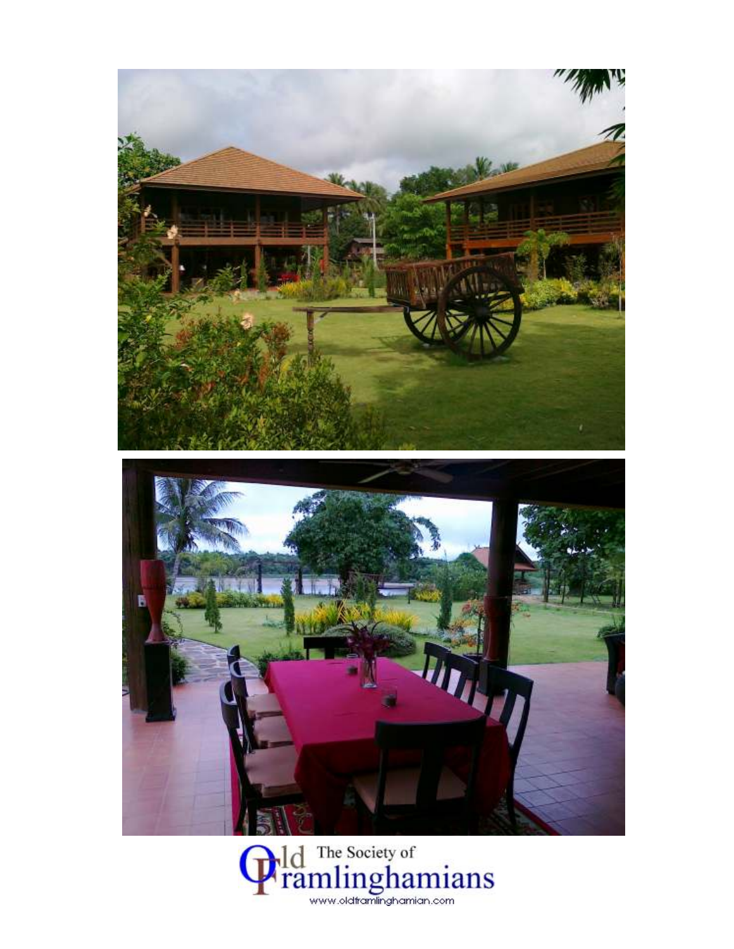

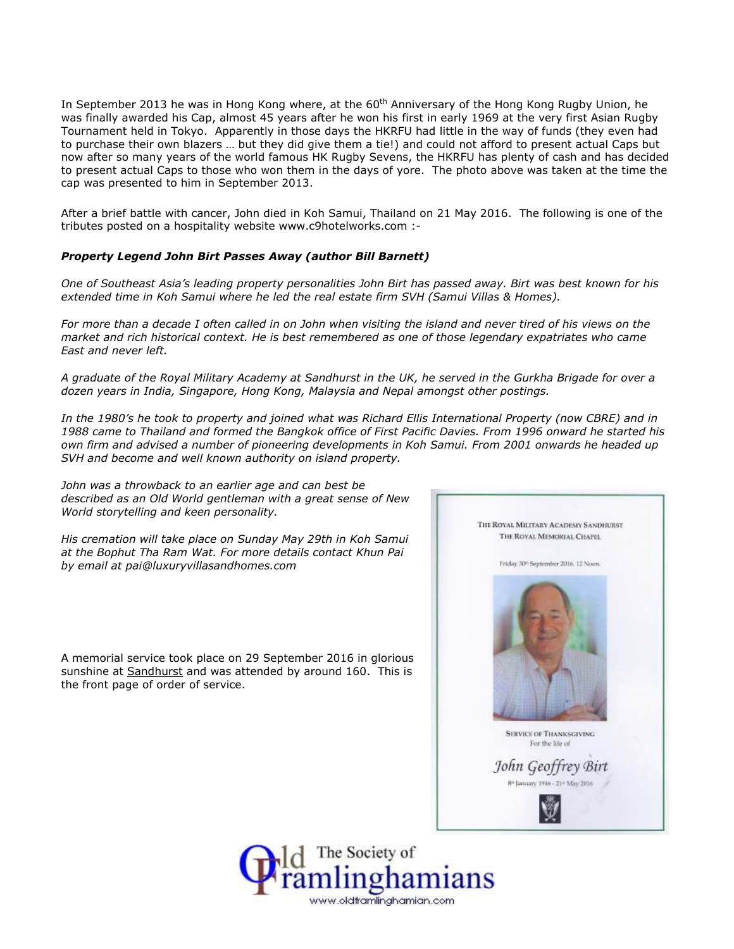In September 2013 he was in Hong Kong where, at the 60<sup>th</sup> Anniversary of the Hong Kong Rugby Union, he was finally awarded his Cap, almost 45 years after he won his first in early 1969 at the very first Asian Rugby Tournament held in Tokyo. Apparently in those days the HKRFU had little in the way of funds (they even had to purchase their own blazers … but they did give them a tie!) and could not afford to present actual Caps but now after so many years of the world famous HK Rugby Sevens, the HKRFU has plenty of cash and has decided to present actual Caps to those who won them in the days of yore. The photo above was taken at the time the cap was presented to him in September 2013.

After a brief battle with cancer, John died in Koh Samui, Thailand on 21 May 2016. The following is one of the tributes posted on a hospitality website www.c9hotelworks.com :-

## *Property Legend John Birt Passes Away (author Bill Barnett)*

*One of Southeast Asia's leading property personalities John Birt has passed away. Birt was best known for his extended time in Koh Samui where he led the real estate firm SVH (Samui Villas & Homes).* 

*For more than a decade I often called in on John when visiting the island and never tired of his views on the market and rich historical context. He is best remembered as one of those legendary expatriates who came East and never left.* 

*A graduate of the Royal Military Academy at Sandhurst in the UK, he served in the Gurkha Brigade for over a dozen years in India, Singapore, Hong Kong, Malaysia and Nepal amongst other postings.* 

In the 1980's he took to property and joined what was Richard Ellis International Property (now CBRE) and in *1988 came to Thailand and formed the Bangkok office of First Pacific Davies. From 1996 onward he started his own firm and advised a number of pioneering developments in Koh Samui. From 2001 onwards he headed up SVH and become and well known authority on island property.* 

*John was a throwback to an earlier age and can best be described as an Old World gentleman with a great sense of New World storytelling and keen personality.* 

*His cremation will take place on Sunday May 29th in Koh Samui at the Bophut Tha Ram Wat. For more details contact Khun Pai by email at pai@luxuryvillasandhomes.com* 

A memorial service took place on 29 September 2016 in glorious sunshine at Sandhurst and was attended by around 160. This is the front page of order of service.